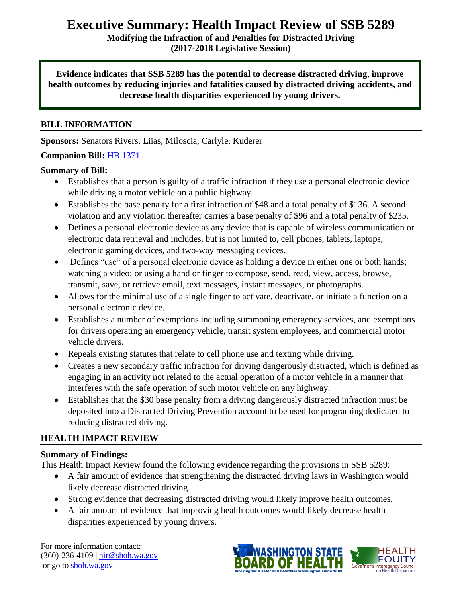# **Executive Summary: Health Impact Review of SSB 5289**

**Modifying the Infraction of and Penalties for Distracted Driving (2017-2018 Legislative Session)**

**Evidence indicates that SSB 5289 has the potential to decrease distracted driving, improve health outcomes by reducing injuries and fatalities caused by distracted driving accidents, and decrease health disparities experienced by young drivers.**

# **BILL INFORMATION**

**Sponsors:** Senators Rivers, Liias, Miloscia, Carlyle, Kuderer

## **Companion Bill:** [HB 1371](http://lawfilesext.leg.wa.gov/biennium/2017-18/Pdf/Bills/House%20Bills/1371-S.pdf)

## **Summary of Bill:**

- Establishes that a person is guilty of a traffic infraction if they use a personal electronic device while driving a motor vehicle on a public highway.
- Establishes the base penalty for a first infraction of \$48 and a total penalty of \$136. A second violation and any violation thereafter carries a base penalty of \$96 and a total penalty of \$235.
- Defines a personal electronic device as any device that is capable of wireless communication or electronic data retrieval and includes, but is not limited to, cell phones, tablets, laptops, electronic gaming devices, and two-way messaging devices.
- Defines "use" of a personal electronic device as holding a device in either one or both hands; watching a video; or using a hand or finger to compose, send, read, view, access, browse, transmit, save, or retrieve email, text messages, instant messages, or photographs.
- Allows for the minimal use of a single finger to activate, deactivate, or initiate a function on a personal electronic device.
- Establishes a number of exemptions including summoning emergency services, and exemptions for drivers operating an emergency vehicle, transit system employees, and commercial motor vehicle drivers.
- Repeals existing statutes that relate to cell phone use and texting while driving.
- Creates a new secondary traffic infraction for driving dangerously distracted, which is defined as engaging in an activity not related to the actual operation of a motor vehicle in a manner that interferes with the safe operation of such motor vehicle on any highway.
- Establishes that the \$30 base penalty from a driving dangerously distracted infraction must be deposited into a Distracted Driving Prevention account to be used for programing dedicated to reducing distracted driving.

# **HEALTH IMPACT REVIEW**

# **Summary of Findings:**

This Health Impact Review found the following evidence regarding the provisions in SSB 5289:

- A fair amount of evidence that strengthening the distracted driving laws in Washington would likely decrease distracted driving.
- Strong evidence that decreasing distracted driving would likely improve health outcomes.
- A fair amount of evidence that improving health outcomes would likely decrease health disparities experienced by young drivers.

For more information contact: (360)-236-4109 | [hir@sboh.wa.gov](mailto:hir@sboh.wa.gov) or go t[o sboh.wa.gov](http://sboh.wa.gov/)

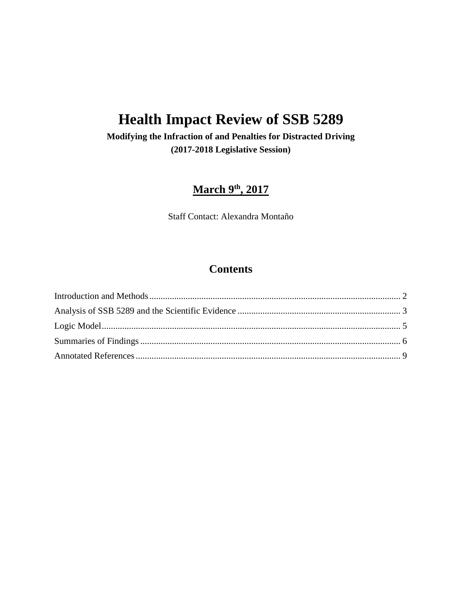# **Health Impact Review of SSB 5289**

# **Modifying the Infraction of and Penalties for Distracted Driving (2017-2018 Legislative Session)**

# **March 9th, 2017**

Staff Contact: Alexandra Montaño

# **Contents**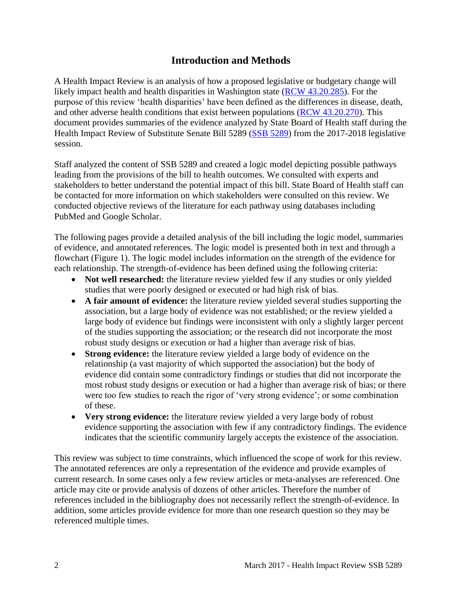# **Introduction and Methods**

<span id="page-2-0"></span>A Health Impact Review is an analysis of how a proposed legislative or budgetary change will likely impact health and health disparities in Washington state [\(RCW 43.20.285\)](http://apps.leg.wa.gov/rcw/default.aspx?cite=43.20.285). For the purpose of this review 'health disparities' have been defined as the differences in disease, death, and other adverse health conditions that exist between populations [\(RCW 43.20.270\)](http://apps.leg.wa.gov/rcw/default.aspx?cite=43.20.270). This document provides summaries of the evidence analyzed by State Board of Health staff during the Health Impact Review of Substitute Senate Bill 5289 [\(SSB 5289\)](http://lawfilesext.leg.wa.gov/biennium/2017-18/Pdf/Bills/Senate%20Bills/5289-S.pdf) from the 2017-2018 legislative session.

Staff analyzed the content of SSB 5289 and created a logic model depicting possible pathways leading from the provisions of the bill to health outcomes. We consulted with experts and stakeholders to better understand the potential impact of this bill. State Board of Health staff can be contacted for more information on which stakeholders were consulted on this review. We conducted objective reviews of the literature for each pathway using databases including PubMed and Google Scholar.

The following pages provide a detailed analysis of the bill including the logic model, summaries of evidence, and annotated references. The logic model is presented both in text and through a flowchart (Figure 1). The logic model includes information on the strength of the evidence for each relationship. The strength-of-evidence has been defined using the following criteria:

- Not well researched: the literature review yielded few if any studies or only yielded studies that were poorly designed or executed or had high risk of bias.
- **A fair amount of evidence:** the literature review yielded several studies supporting the association, but a large body of evidence was not established; or the review yielded a large body of evidence but findings were inconsistent with only a slightly larger percent of the studies supporting the association; or the research did not incorporate the most robust study designs or execution or had a higher than average risk of bias.
- **Strong evidence:** the literature review yielded a large body of evidence on the relationship (a vast majority of which supported the association) but the body of evidence did contain some contradictory findings or studies that did not incorporate the most robust study designs or execution or had a higher than average risk of bias; or there were too few studies to reach the rigor of 'very strong evidence'; or some combination of these.
- **Very strong evidence:** the literature review yielded a very large body of robust evidence supporting the association with few if any contradictory findings. The evidence indicates that the scientific community largely accepts the existence of the association.

<span id="page-2-1"></span>This review was subject to time constraints, which influenced the scope of work for this review. The annotated references are only a representation of the evidence and provide examples of current research. In some cases only a few review articles or meta-analyses are referenced. One article may cite or provide analysis of dozens of other articles. Therefore the number of references included in the bibliography does not necessarily reflect the strength-of-evidence. In addition, some articles provide evidence for more than one research question so they may be referenced multiple times.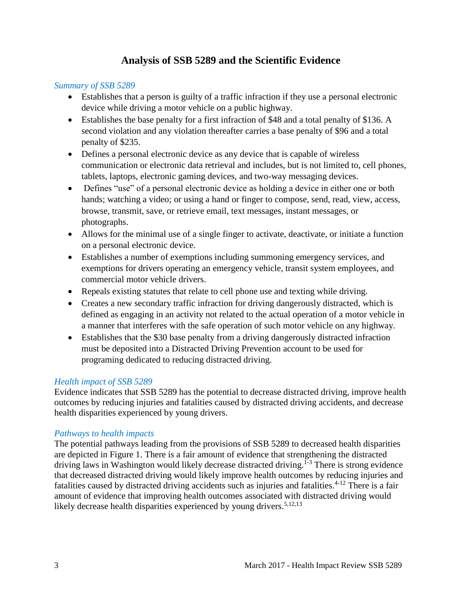# **Analysis of SSB 5289 and the Scientific Evidence**

### *Summary of SSB 5289*

- Establishes that a person is guilty of a traffic infraction if they use a personal electronic device while driving a motor vehicle on a public highway.
- Establishes the base penalty for a first infraction of \$48 and a total penalty of \$136. A second violation and any violation thereafter carries a base penalty of \$96 and a total penalty of \$235.
- Defines a personal electronic device as any device that is capable of wireless communication or electronic data retrieval and includes, but is not limited to, cell phones, tablets, laptops, electronic gaming devices, and two-way messaging devices.
- Defines "use" of a personal electronic device as holding a device in either one or both hands; watching a video; or using a hand or finger to compose, send, read, view, access, browse, transmit, save, or retrieve email, text messages, instant messages, or photographs.
- Allows for the minimal use of a single finger to activate, deactivate, or initiate a function on a personal electronic device.
- Establishes a number of exemptions including summoning emergency services, and exemptions for drivers operating an emergency vehicle, transit system employees, and commercial motor vehicle drivers.
- Repeals existing statutes that relate to cell phone use and texting while driving.
- Creates a new secondary traffic infraction for driving dangerously distracted, which is defined as engaging in an activity not related to the actual operation of a motor vehicle in a manner that interferes with the safe operation of such motor vehicle on any highway.
- Establishes that the \$30 base penalty from a driving dangerously distracted infraction must be deposited into a Distracted Driving Prevention account to be used for programing dedicated to reducing distracted driving.

## *Health impact of SSB 5289*

Evidence indicates that SSB 5289 has the potential to decrease distracted driving, improve health outcomes by reducing injuries and fatalities caused by distracted driving accidents, and decrease health disparities experienced by young drivers.

## *Pathways to health impacts*

The potential pathways leading from the provisions of SSB 5289 to decreased health disparities are depicted in Figure 1. There is a fair amount of evidence that strengthening the distracted driving laws in Washington would likely decrease distracted driving.<sup>1-3</sup> There is strong evidence that decreased distracted driving would likely improve health outcomes by reducing injuries and fatalities caused by distracted driving accidents such as injuries and fatalities.<sup>4-12</sup> There is a fair amount of evidence that improving health outcomes associated with distracted driving would likely decrease health disparities experienced by young drivers.<sup>5,12,13</sup>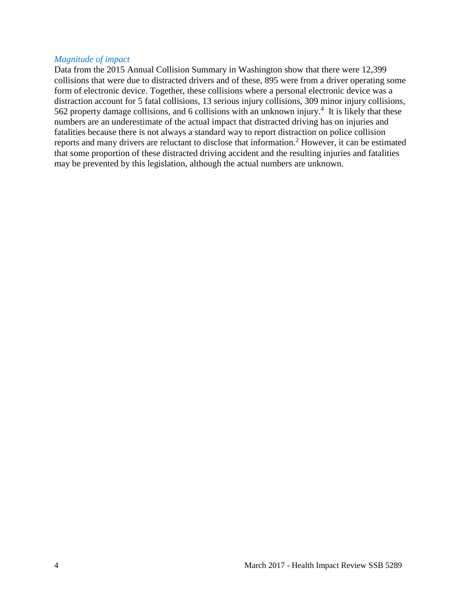#### *Magnitude of impact*

Data from the 2015 Annual Collision Summary in Washington show that there were 12,399 collisions that were due to distracted drivers and of these, 895 were from a driver operating some form of electronic device. Together, these collisions where a personal electronic device was a distraction account for 5 fatal collisions, 13 serious injury collisions, 309 minor injury collisions, 562 property damage collisions, and 6 collisions with an unknown injury.<sup>4</sup> It is likely that these numbers are an underestimate of the actual impact that distracted driving has on injuries and fatalities because there is not always a standard way to report distraction on police collision reports and many drivers are reluctant to disclose that information. <sup>2</sup> However, it can be estimated that some proportion of these distracted driving accident and the resulting injuries and fatalities may be prevented by this legislation, although the actual numbers are unknown.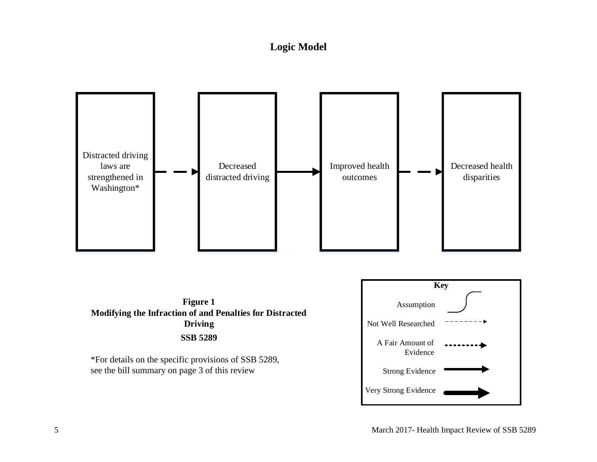# **Logic Model**

<span id="page-5-0"></span>

**Figure 1 Modifying the Infraction of and Penalties for Distracted Driving SSB 5289**

\*For details on the specific provisions of SSB 5289, see the bill summary on page 3 of this review

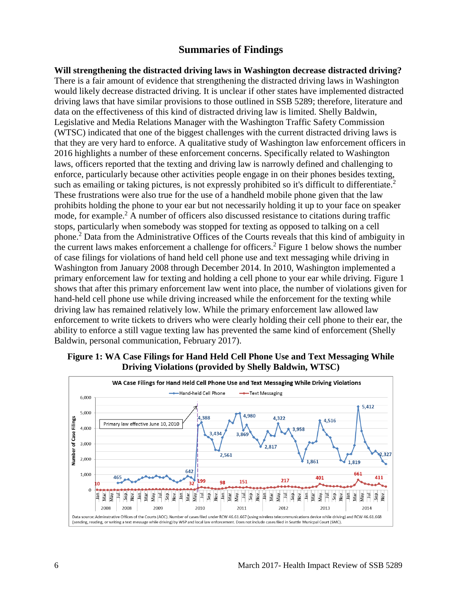# **Summaries of Findings**

<span id="page-6-0"></span>**Will strengthening the distracted driving laws in Washington decrease distracted driving?** There is a fair amount of evidence that strengthening the distracted driving laws in Washington would likely decrease distracted driving. It is unclear if other states have implemented distracted driving laws that have similar provisions to those outlined in SSB 5289; therefore, literature and data on the effectiveness of this kind of distracted driving law is limited. Shelly Baldwin, Legislative and Media Relations Manager with the Washington Traffic Safety Commission (WTSC) indicated that one of the biggest challenges with the current distracted driving laws is that they are very hard to enforce. A qualitative study of Washington law enforcement officers in 2016 highlights a number of these enforcement concerns. Specifically related to Washington laws, officers reported that the texting and driving law is narrowly defined and challenging to enforce, particularly because other activities people engage in on their phones besides texting, such as emailing or taking pictures, is not expressly prohibited so it's difficult to differentiate.<sup>2</sup> These frustrations were also true for the use of a handheld mobile phone given that the law prohibits holding the phone to your ear but not necessarily holding it up to your face on speaker mode, for example.<sup>2</sup> A number of officers also discussed resistance to citations during traffic stops, particularly when somebody was stopped for texting as opposed to talking on a cell phone.<sup>2</sup> Data from the Administrative Offices of the Courts reveals that this kind of ambiguity in the current laws makes enforcement a challenge for officers.<sup>2</sup> Figure 1 below shows the number of case filings for violations of hand held cell phone use and text messaging while driving in Washington from January 2008 through December 2014. In 2010, Washington implemented a primary enforcement law for texting and holding a cell phone to your ear while driving. Figure 1 shows that after this primary enforcement law went into place, the number of violations given for hand-held cell phone use while driving increased while the enforcement for the texting while driving law has remained relatively low. While the primary enforcement law allowed law enforcement to write tickets to drivers who were clearly holding their cell phone to their ear, the ability to enforce a still vague texting law has prevented the same kind of enforcement (Shelly Baldwin, personal communication, February 2017).



#### **Figure 1: WA Case Filings for Hand Held Cell Phone Use and Text Messaging While Driving Violations (provided by Shelly Baldwin, WTSC)**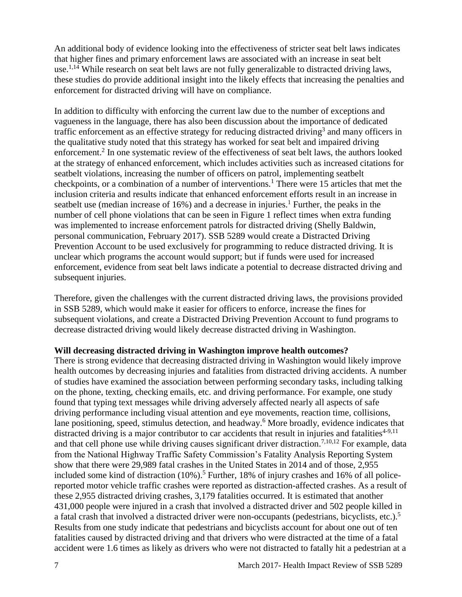An additional body of evidence looking into the effectiveness of stricter seat belt laws indicates that higher fines and primary enforcement laws are associated with an increase in seat belt use.<sup>1,14</sup> While research on seat belt laws are not fully generalizable to distracted driving laws, these studies do provide additional insight into the likely effects that increasing the penalties and enforcement for distracted driving will have on compliance.

In addition to difficulty with enforcing the current law due to the number of exceptions and vagueness in the language, there has also been discussion about the importance of dedicated traffic enforcement as an effective strategy for reducing distracted driving<sup>3</sup> and many officers in the qualitative study noted that this strategy has worked for seat belt and impaired driving enforcement.<sup>2</sup> In one systematic review of the effectiveness of seat belt laws, the authors looked at the strategy of enhanced enforcement, which includes activities such as increased citations for seatbelt violations, increasing the number of officers on patrol, implementing seatbelt checkpoints, or a combination of a number of interventions.<sup>1</sup> There were 15 articles that met the inclusion criteria and results indicate that enhanced enforcement efforts result in an increase in seatbelt use (median increase of  $16\%$ ) and a decrease in injuries.<sup>1</sup> Further, the peaks in the number of cell phone violations that can be seen in Figure 1 reflect times when extra funding was implemented to increase enforcement patrols for distracted driving (Shelly Baldwin, personal communication, February 2017). SSB 5289 would create a Distracted Driving Prevention Account to be used exclusively for programming to reduce distracted driving. It is unclear which programs the account would support; but if funds were used for increased enforcement, evidence from seat belt laws indicate a potential to decrease distracted driving and subsequent injuries.

Therefore, given the challenges with the current distracted driving laws, the provisions provided in SSB 5289, which would make it easier for officers to enforce, increase the fines for subsequent violations, and create a Distracted Driving Prevention Account to fund programs to decrease distracted driving would likely decrease distracted driving in Washington.

#### **Will decreasing distracted driving in Washington improve health outcomes?**

There is strong evidence that decreasing distracted driving in Washington would likely improve health outcomes by decreasing injuries and fatalities from distracted driving accidents. A number of studies have examined the association between performing secondary tasks, including talking on the phone, texting, checking emails, etc. and driving performance. For example, one study found that typing text messages while driving adversely affected nearly all aspects of safe driving performance including visual attention and eye movements, reaction time, collisions, lane positioning, speed, stimulus detection, and headway.<sup>6</sup> More broadly, evidence indicates that distracted driving is a major contributor to car accidents that result in injuries and fatalities<sup>4-9,11</sup> and that cell phone use while driving causes significant driver distraction.<sup>7,10,12</sup> For example, data from the National Highway Traffic Safety Commission's Fatality Analysis Reporting System show that there were 29,989 fatal crashes in the United States in 2014 and of those, 2,955 included some kind of distraction  $(10\%)$ .<sup>5</sup> Further, 18% of injury crashes and 16% of all policereported motor vehicle traffic crashes were reported as distraction-affected crashes. As a result of these 2,955 distracted driving crashes, 3,179 fatalities occurred. It is estimated that another 431,000 people were injured in a crash that involved a distracted driver and 502 people killed in a fatal crash that involved a distracted driver were non-occupants (pedestrians, bicyclists, etc.).<sup>5</sup> Results from one study indicate that pedestrians and bicyclists account for about one out of ten fatalities caused by distracted driving and that drivers who were distracted at the time of a fatal accident were 1.6 times as likely as drivers who were not distracted to fatally hit a pedestrian at a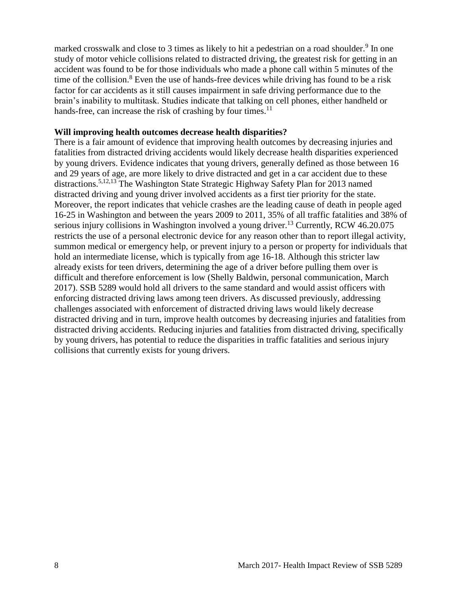marked crosswalk and close to 3 times as likely to hit a pedestrian on a road shoulder.<sup>9</sup> In one study of motor vehicle collisions related to distracted driving, the greatest risk for getting in an accident was found to be for those individuals who made a phone call within 5 minutes of the time of the collision.<sup>8</sup> Even the use of hands-free devices while driving has found to be a risk factor for car accidents as it still causes impairment in safe driving performance due to the brain's inability to multitask. Studies indicate that talking on cell phones, either handheld or hands-free, can increase the risk of crashing by four times. $^{11}$ 

#### **Will improving health outcomes decrease health disparities?**

There is a fair amount of evidence that improving health outcomes by decreasing injuries and fatalities from distracted driving accidents would likely decrease health disparities experienced by young drivers. Evidence indicates that young drivers, generally defined as those between 16 and 29 years of age, are more likely to drive distracted and get in a car accident due to these distractions.5,12,13 The Washington State Strategic Highway Safety Plan for 2013 named distracted driving and young driver involved accidents as a first tier priority for the state. Moreover, the report indicates that vehicle crashes are the leading cause of death in people aged 16-25 in Washington and between the years 2009 to 2011, 35% of all traffic fatalities and 38% of serious injury collisions in Washington involved a young driver.<sup>13</sup> Currently, RCW 46.20.075 restricts the use of a personal electronic device for any reason other than to report illegal activity, summon medical or emergency help, or prevent injury to a person or property for individuals that hold an intermediate license, which is typically from age 16-18. Although this stricter law already exists for teen drivers, determining the age of a driver before pulling them over is difficult and therefore enforcement is low (Shelly Baldwin, personal communication, March 2017). SSB 5289 would hold all drivers to the same standard and would assist officers with enforcing distracted driving laws among teen drivers. As discussed previously, addressing challenges associated with enforcement of distracted driving laws would likely decrease distracted driving and in turn, improve health outcomes by decreasing injuries and fatalities from distracted driving accidents. Reducing injuries and fatalities from distracted driving, specifically by young drivers, has potential to reduce the disparities in traffic fatalities and serious injury collisions that currently exists for young drivers.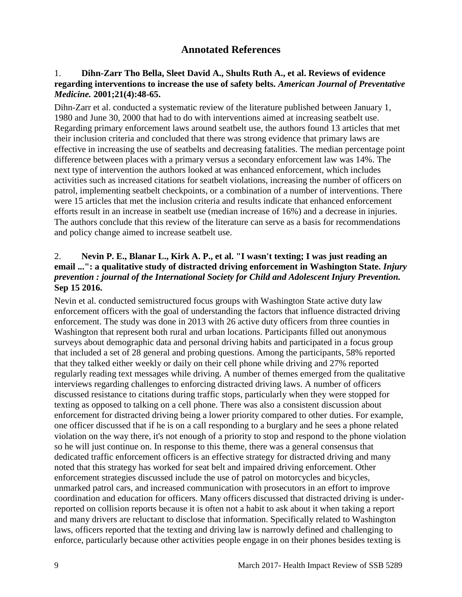# **Annotated References**

## 1. **Dihn-Zarr Tho Bella, Sleet David A., Shults Ruth A., et al. Reviews of evidence regarding interventions to increase the use of safety belts.** *American Journal of Preventative Medicine.* **2001;21(4):48-65.**

Dihn-Zarr et al. conducted a systematic review of the literature published between January 1, 1980 and June 30, 2000 that had to do with interventions aimed at increasing seatbelt use. Regarding primary enforcement laws around seatbelt use, the authors found 13 articles that met their inclusion criteria and concluded that there was strong evidence that primary laws are effective in increasing the use of seatbelts and decreasing fatalities. The median percentage point difference between places with a primary versus a secondary enforcement law was 14%. The next type of intervention the authors looked at was enhanced enforcement, which includes activities such as increased citations for seatbelt violations, increasing the number of officers on patrol, implementing seatbelt checkpoints, or a combination of a number of interventions. There were 15 articles that met the inclusion criteria and results indicate that enhanced enforcement efforts result in an increase in seatbelt use (median increase of 16%) and a decrease in injuries. The authors conclude that this review of the literature can serve as a basis for recommendations and policy change aimed to increase seatbelt use.

# 2. **Nevin P. E., Blanar L., Kirk A. P., et al. "I wasn't texting; I was just reading an email ...": a qualitative study of distracted driving enforcement in Washington State.** *Injury prevention : journal of the International Society for Child and Adolescent Injury Prevention.*  **Sep 15 2016.**

Nevin et al. conducted semistructured focus groups with Washington State active duty law enforcement officers with the goal of understanding the factors that influence distracted driving enforcement. The study was done in 2013 with 26 active duty officers from three counties in Washington that represent both rural and urban locations. Participants filled out anonymous surveys about demographic data and personal driving habits and participated in a focus group that included a set of 28 general and probing questions. Among the participants, 58% reported that they talked either weekly or daily on their cell phone while driving and 27% reported regularly reading text messages while driving. A number of themes emerged from the qualitative interviews regarding challenges to enforcing distracted driving laws. A number of officers discussed resistance to citations during traffic stops, particularly when they were stopped for texting as opposed to talking on a cell phone. There was also a consistent discussion about enforcement for distracted driving being a lower priority compared to other duties. For example, one officer discussed that if he is on a call responding to a burglary and he sees a phone related violation on the way there, it's not enough of a priority to stop and respond to the phone violation so he will just continue on. In response to this theme, there was a general consensus that dedicated traffic enforcement officers is an effective strategy for distracted driving and many noted that this strategy has worked for seat belt and impaired driving enforcement. Other enforcement strategies discussed include the use of patrol on motorcycles and bicycles, unmarked patrol cars, and increased communication with prosecutors in an effort to improve coordination and education for officers. Many officers discussed that distracted driving is underreported on collision reports because it is often not a habit to ask about it when taking a report and many drivers are reluctant to disclose that information. Specifically related to Washington laws, officers reported that the texting and driving law is narrowly defined and challenging to enforce, particularly because other activities people engage in on their phones besides texting is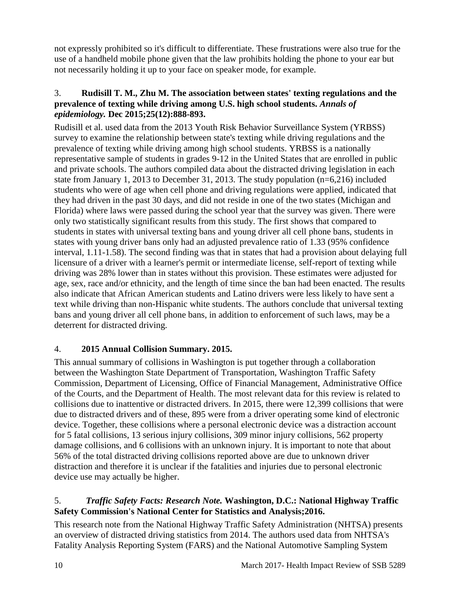not expressly prohibited so it's difficult to differentiate. These frustrations were also true for the use of a handheld mobile phone given that the law prohibits holding the phone to your ear but not necessarily holding it up to your face on speaker mode, for example.

## 3. **Rudisill T. M., Zhu M. The association between states' texting regulations and the prevalence of texting while driving among U.S. high school students.** *Annals of epidemiology.* **Dec 2015;25(12):888-893.**

Rudisill et al. used data from the 2013 Youth Risk Behavior Surveillance System (YRBSS) survey to examine the relationship between state's texting while driving regulations and the prevalence of texting while driving among high school students. YRBSS is a nationally representative sample of students in grades 9-12 in the United States that are enrolled in public and private schools. The authors compiled data about the distracted driving legislation in each state from January 1, 2013 to December 31, 2013. The study population (n=6,216) included students who were of age when cell phone and driving regulations were applied, indicated that they had driven in the past 30 days, and did not reside in one of the two states (Michigan and Florida) where laws were passed during the school year that the survey was given. There were only two statistically significant results from this study. The first shows that compared to students in states with universal texting bans and young driver all cell phone bans, students in states with young driver bans only had an adjusted prevalence ratio of 1.33 (95% confidence interval, 1.11-1.58). The second finding was that in states that had a provision about delaying full licensure of a driver with a learner's permit or intermediate license, self-report of texting while driving was 28% lower than in states without this provision. These estimates were adjusted for age, sex, race and/or ethnicity, and the length of time since the ban had been enacted. The results also indicate that African American students and Latino drivers were less likely to have sent a text while driving than non-Hispanic white students. The authors conclude that universal texting bans and young driver all cell phone bans, in addition to enforcement of such laws, may be a deterrent for distracted driving.

# 4. **2015 Annual Collision Summary. 2015.**

This annual summary of collisions in Washington is put together through a collaboration between the Washington State Department of Transportation, Washington Traffic Safety Commission, Department of Licensing, Office of Financial Management, Administrative Office of the Courts, and the Department of Health. The most relevant data for this review is related to collisions due to inattentive or distracted drivers. In 2015, there were 12,399 collisions that were due to distracted drivers and of these, 895 were from a driver operating some kind of electronic device. Together, these collisions where a personal electronic device was a distraction account for 5 fatal collisions, 13 serious injury collisions, 309 minor injury collisions, 562 property damage collisions, and 6 collisions with an unknown injury. It is important to note that about 56% of the total distracted driving collisions reported above are due to unknown driver distraction and therefore it is unclear if the fatalities and injuries due to personal electronic device use may actually be higher.

# 5.*Traffic Safety Facts: Research Note.* **Washington, D.C.: National Highway Traffic Safety Commission's National Center for Statistics and Analysis;2016.**

This research note from the National Highway Traffic Safety Administration (NHTSA) presents an overview of distracted driving statistics from 2014. The authors used data from NHTSA's Fatality Analysis Reporting System (FARS) and the National Automotive Sampling System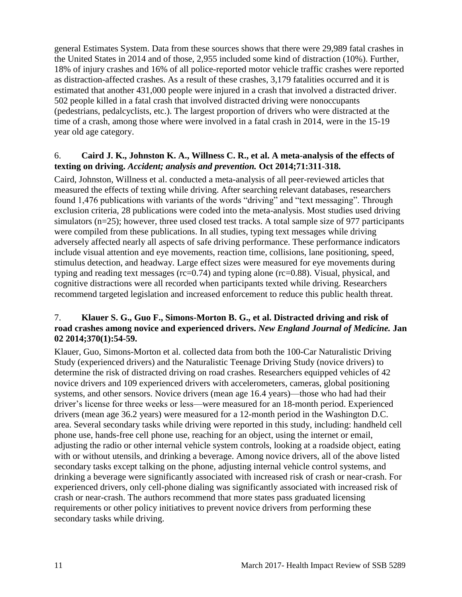general Estimates System. Data from these sources shows that there were 29,989 fatal crashes in the United States in 2014 and of those, 2,955 included some kind of distraction (10%). Further, 18% of injury crashes and 16% of all police-reported motor vehicle traffic crashes were reported as distraction-affected crashes. As a result of these crashes, 3,179 fatalities occurred and it is estimated that another 431,000 people were injured in a crash that involved a distracted driver. 502 people killed in a fatal crash that involved distracted driving were nonoccupants (pedestrians, pedalcyclists, etc.). The largest proportion of drivers who were distracted at the time of a crash, among those where were involved in a fatal crash in 2014, were in the 15-19 year old age category.

#### 6. **Caird J. K., Johnston K. A., Willness C. R., et al. A meta-analysis of the effects of texting on driving.** *Accident; analysis and prevention.* **Oct 2014;71:311-318.**

Caird, Johnston, Willness et al. conducted a meta-analysis of all peer-reviewed articles that measured the effects of texting while driving. After searching relevant databases, researchers found 1,476 publications with variants of the words "driving" and "text messaging". Through exclusion criteria, 28 publications were coded into the meta-analysis. Most studies used driving simulators (n=25); however, three used closed test tracks. A total sample size of 977 participants were compiled from these publications. In all studies, typing text messages while driving adversely affected nearly all aspects of safe driving performance. These performance indicators include visual attention and eye movements, reaction time, collisions, lane positioning, speed, stimulus detection, and headway. Large effect sizes were measured for eye movements during typing and reading text messages (rc=0.74) and typing alone (rc=0.88). Visual, physical, and cognitive distractions were all recorded when participants texted while driving. Researchers recommend targeted legislation and increased enforcement to reduce this public health threat.

# 7. **Klauer S. G., Guo F., Simons-Morton B. G., et al. Distracted driving and risk of road crashes among novice and experienced drivers.** *New England Journal of Medicine.* **Jan 02 2014;370(1):54-59.**

Klauer, Guo, Simons-Morton et al. collected data from both the 100-Car Naturalistic Driving Study (experienced drivers) and the Naturalistic Teenage Driving Study (novice drivers) to determine the risk of distracted driving on road crashes. Researchers equipped vehicles of 42 novice drivers and 109 experienced drivers with accelerometers, cameras, global positioning systems, and other sensors. Novice drivers (mean age 16.4 years)—those who had had their driver's license for three weeks or less—were measured for an 18-month period. Experienced drivers (mean age 36.2 years) were measured for a 12-month period in the Washington D.C. area. Several secondary tasks while driving were reported in this study, including: handheld cell phone use, hands-free cell phone use, reaching for an object, using the internet or email, adjusting the radio or other internal vehicle system controls, looking at a roadside object, eating with or without utensils, and drinking a beverage. Among novice drivers, all of the above listed secondary tasks except talking on the phone, adjusting internal vehicle control systems, and drinking a beverage were significantly associated with increased risk of crash or near-crash. For experienced drivers, only cell-phone dialing was significantly associated with increased risk of crash or near-crash. The authors recommend that more states pass graduated licensing requirements or other policy initiatives to prevent novice drivers from performing these secondary tasks while driving.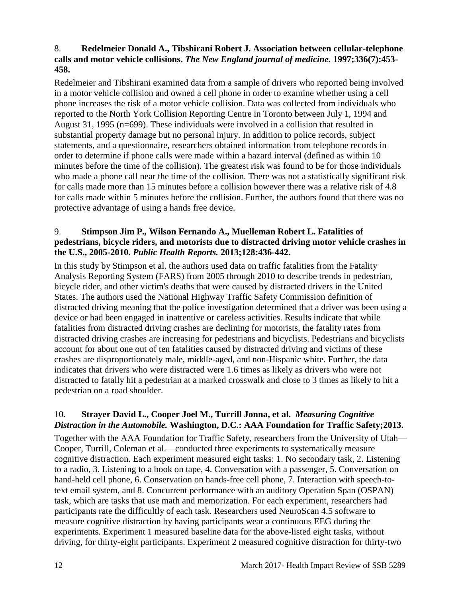# 8. **Redelmeier Donald A., Tibshirani Robert J. Association between cellular-telephone calls and motor vehicle collisions.** *The New England journal of medicine.* **1997;336(7):453- 458.**

Redelmeier and Tibshirani examined data from a sample of drivers who reported being involved in a motor vehicle collision and owned a cell phone in order to examine whether using a cell phone increases the risk of a motor vehicle collision. Data was collected from individuals who reported to the North York Collision Reporting Centre in Toronto between July 1, 1994 and August 31, 1995 (n=699). These individuals were involved in a collision that resulted in substantial property damage but no personal injury. In addition to police records, subject statements, and a questionnaire, researchers obtained information from telephone records in order to determine if phone calls were made within a hazard interval (defined as within 10 minutes before the time of the collision). The greatest risk was found to be for those individuals who made a phone call near the time of the collision. There was not a statistically significant risk for calls made more than 15 minutes before a collision however there was a relative risk of 4.8 for calls made within 5 minutes before the collision. Further, the authors found that there was no protective advantage of using a hands free device.

## 9. **Stimpson Jim P., Wilson Fernando A., Muelleman Robert L. Fatalities of pedestrians, bicycle riders, and motorists due to distracted driving motor vehicle crashes in the U.S., 2005-2010.** *Public Health Reports.* **2013;128:436-442.**

In this study by Stimpson et al. the authors used data on traffic fatalities from the Fatality Analysis Reporting System (FARS) from 2005 through 2010 to describe trends in pedestrian, bicycle rider, and other victim's deaths that were caused by distracted drivers in the United States. The authors used the National Highway Traffic Safety Commission definition of distracted driving meaning that the police investigation determined that a driver was been using a device or had been engaged in inattentive or careless activities. Results indicate that while fatalities from distracted driving crashes are declining for motorists, the fatality rates from distracted driving crashes are increasing for pedestrians and bicyclists. Pedestrians and bicyclists account for about one out of ten fatalities caused by distracted driving and victims of these crashes are disproportionately male, middle-aged, and non-Hispanic white. Further, the data indicates that drivers who were distracted were 1.6 times as likely as drivers who were not distracted to fatally hit a pedestrian at a marked crosswalk and close to 3 times as likely to hit a pedestrian on a road shoulder.

# 10. **Strayer David L., Cooper Joel M., Turrill Jonna, et al.** *Measuring Cognitive Distraction in the Automobile.* **Washington, D.C.: AAA Foundation for Traffic Safety;2013.**

Together with the AAA Foundation for Traffic Safety, researchers from the University of Utah— Cooper, Turrill, Coleman et al.—conducted three experiments to systematically measure cognitive distraction. Each experiment measured eight tasks: 1. No secondary task, 2. Listening to a radio, 3. Listening to a book on tape, 4. Conversation with a passenger, 5. Conversation on hand-held cell phone, 6. Conservation on hands-free cell phone, 7. Interaction with speech-totext email system, and 8. Concurrent performance with an auditory Operation Span (OSPAN) task, which are tasks that use math and memorization. For each experiment, researchers had participants rate the difficultly of each task. Researchers used NeuroScan 4.5 software to measure cognitive distraction by having participants wear a continuous EEG during the experiments. Experiment 1 measured baseline data for the above-listed eight tasks, without driving, for thirty-eight participants. Experiment 2 measured cognitive distraction for thirty-two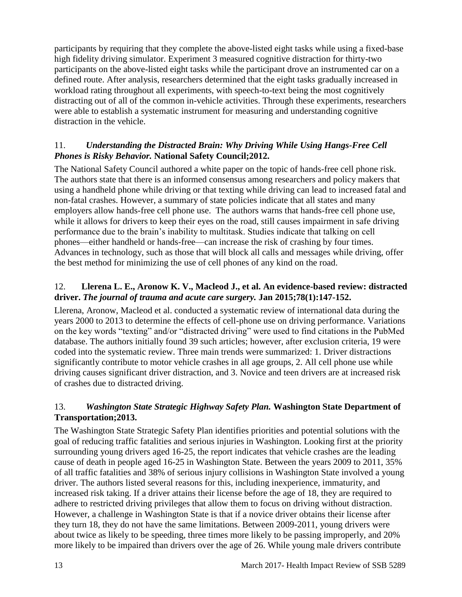participants by requiring that they complete the above-listed eight tasks while using a fixed-base high fidelity driving simulator. Experiment 3 measured cognitive distraction for thirty-two participants on the above-listed eight tasks while the participant drove an instrumented car on a defined route. After analysis, researchers determined that the eight tasks gradually increased in workload rating throughout all experiments, with speech-to-text being the most cognitively distracting out of all of the common in-vehicle activities. Through these experiments, researchers were able to establish a systematic instrument for measuring and understanding cognitive distraction in the vehicle.

# 11.*Understanding the Distracted Brain: Why Driving While Using Hangs-Free Cell Phones is Risky Behavior.* **National Safety Council;2012.**

The National Safety Council authored a white paper on the topic of hands-free cell phone risk. The authors state that there is an informed consensus among researchers and policy makers that using a handheld phone while driving or that texting while driving can lead to increased fatal and non-fatal crashes. However, a summary of state policies indicate that all states and many employers allow hands-free cell phone use. The authors warns that hands-free cell phone use, while it allows for drivers to keep their eyes on the road, still causes impairment in safe driving performance due to the brain's inability to multitask. Studies indicate that talking on cell phones—either handheld or hands-free—can increase the risk of crashing by four times. Advances in technology, such as those that will block all calls and messages while driving, offer the best method for minimizing the use of cell phones of any kind on the road.

# 12. **Llerena L. E., Aronow K. V., Macleod J., et al. An evidence-based review: distracted driver.** *The journal of trauma and acute care surgery.* **Jan 2015;78(1):147-152.**

Llerena, Aronow, Macleod et al. conducted a systematic review of international data during the years 2000 to 2013 to determine the effects of cell-phone use on driving performance. Variations on the key words "texting" and/or "distracted driving" were used to find citations in the PubMed database. The authors initially found 39 such articles; however, after exclusion criteria, 19 were coded into the systematic review. Three main trends were summarized: 1. Driver distractions significantly contribute to motor vehicle crashes in all age groups, 2. All cell phone use while driving causes significant driver distraction, and 3. Novice and teen drivers are at increased risk of crashes due to distracted driving.

# 13.*Washington State Strategic Highway Safety Plan.* **Washington State Department of Transportation;2013.**

The Washington State Strategic Safety Plan identifies priorities and potential solutions with the goal of reducing traffic fatalities and serious injuries in Washington. Looking first at the priority surrounding young drivers aged 16-25, the report indicates that vehicle crashes are the leading cause of death in people aged 16-25 in Washington State. Between the years 2009 to 2011, 35% of all traffic fatalities and 38% of serious injury collisions in Washington State involved a young driver. The authors listed several reasons for this, including inexperience, immaturity, and increased risk taking. If a driver attains their license before the age of 18, they are required to adhere to restricted driving privileges that allow them to focus on driving without distraction. However, a challenge in Washington State is that if a novice driver obtains their license after they turn 18, they do not have the same limitations. Between 2009-2011, young drivers were about twice as likely to be speeding, three times more likely to be passing improperly, and 20% more likely to be impaired than drivers over the age of 26. While young male drivers contribute